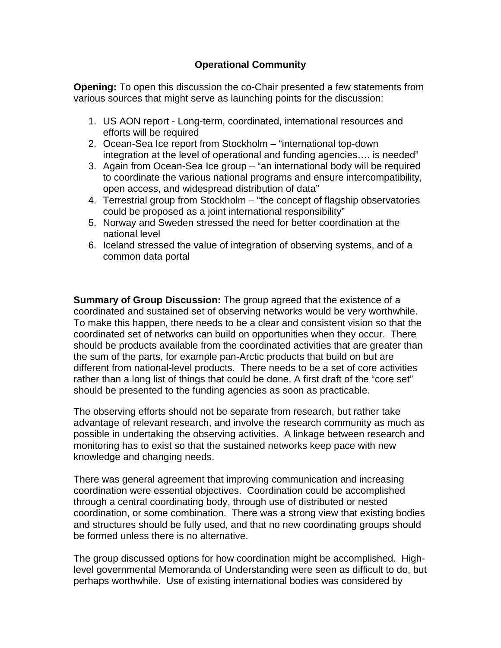## **Operational Community**

**Opening:** To open this discussion the co-Chair presented a few statements from various sources that might serve as launching points for the discussion:

- 1. US AON report Long-term, coordinated, international resources and efforts will be required
- 2. Ocean-Sea Ice report from Stockholm "international top-down integration at the level of operational and funding agencies…. is needed"
- 3. Again from Ocean-Sea Ice group "an international body will be required to coordinate the various national programs and ensure intercompatibility, open access, and widespread distribution of data"
- 4. Terrestrial group from Stockholm "the concept of flagship observatories could be proposed as a joint international responsibility"
- 5. Norway and Sweden stressed the need for better coordination at the national level
- 6. Iceland stressed the value of integration of observing systems, and of a common data portal

**Summary of Group Discussion:** The group agreed that the existence of a coordinated and sustained set of observing networks would be very worthwhile. To make this happen, there needs to be a clear and consistent vision so that the coordinated set of networks can build on opportunities when they occur. There should be products available from the coordinated activities that are greater than the sum of the parts, for example pan-Arctic products that build on but are different from national-level products. There needs to be a set of core activities rather than a long list of things that could be done. A first draft of the "core set" should be presented to the funding agencies as soon as practicable.

The observing efforts should not be separate from research, but rather take advantage of relevant research, and involve the research community as much as possible in undertaking the observing activities. A linkage between research and monitoring has to exist so that the sustained networks keep pace with new knowledge and changing needs.

There was general agreement that improving communication and increasing coordination were essential objectives. Coordination could be accomplished through a central coordinating body, through use of distributed or nested coordination, or some combination. There was a strong view that existing bodies and structures should be fully used, and that no new coordinating groups should be formed unless there is no alternative.

The group discussed options for how coordination might be accomplished. Highlevel governmental Memoranda of Understanding were seen as difficult to do, but perhaps worthwhile. Use of existing international bodies was considered by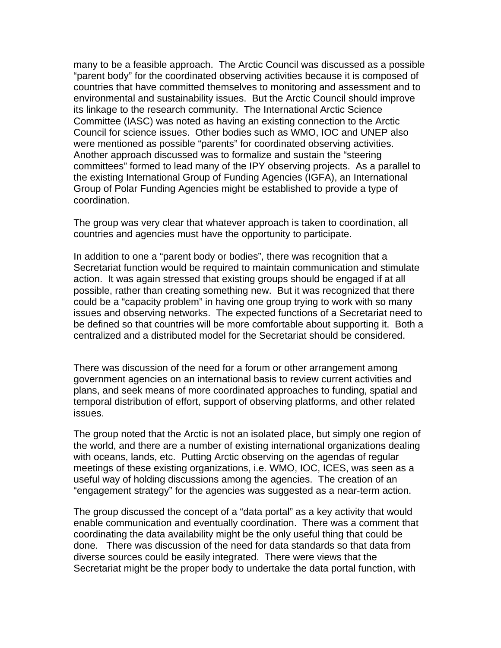many to be a feasible approach. The Arctic Council was discussed as a possible "parent body" for the coordinated observing activities because it is composed of countries that have committed themselves to monitoring and assessment and to environmental and sustainability issues. But the Arctic Council should improve its linkage to the research community. The International Arctic Science Committee (IASC) was noted as having an existing connection to the Arctic Council for science issues. Other bodies such as WMO, IOC and UNEP also were mentioned as possible "parents" for coordinated observing activities. Another approach discussed was to formalize and sustain the "steering committees" formed to lead many of the IPY observing projects. As a parallel to the existing International Group of Funding Agencies (IGFA), an International Group of Polar Funding Agencies might be established to provide a type of coordination.

The group was very clear that whatever approach is taken to coordination, all countries and agencies must have the opportunity to participate.

In addition to one a "parent body or bodies", there was recognition that a Secretariat function would be required to maintain communication and stimulate action. It was again stressed that existing groups should be engaged if at all possible, rather than creating something new. But it was recognized that there could be a "capacity problem" in having one group trying to work with so many issues and observing networks. The expected functions of a Secretariat need to be defined so that countries will be more comfortable about supporting it. Both a centralized and a distributed model for the Secretariat should be considered.

There was discussion of the need for a forum or other arrangement among government agencies on an international basis to review current activities and plans, and seek means of more coordinated approaches to funding, spatial and temporal distribution of effort, support of observing platforms, and other related issues.

The group noted that the Arctic is not an isolated place, but simply one region of the world, and there are a number of existing international organizations dealing with oceans, lands, etc. Putting Arctic observing on the agendas of regular meetings of these existing organizations, i.e. WMO, IOC, ICES, was seen as a useful way of holding discussions among the agencies. The creation of an "engagement strategy" for the agencies was suggested as a near-term action.

The group discussed the concept of a "data portal" as a key activity that would enable communication and eventually coordination. There was a comment that coordinating the data availability might be the only useful thing that could be done. There was discussion of the need for data standards so that data from diverse sources could be easily integrated. There were views that the Secretariat might be the proper body to undertake the data portal function, with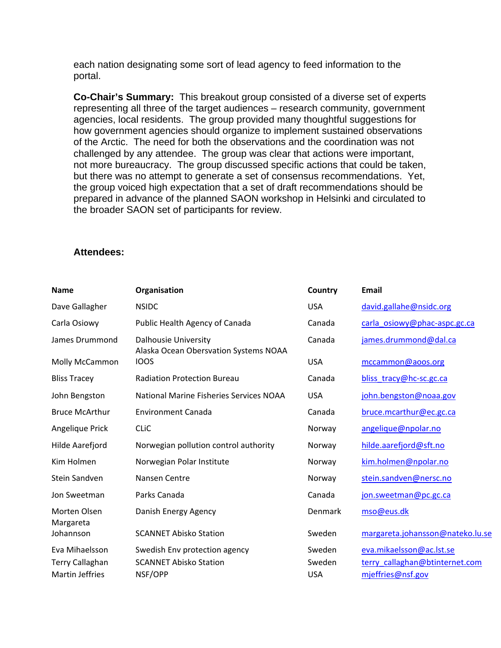each nation designating some sort of lead agency to feed information to the portal.

**Co-Chair's Summary:** This breakout group consisted of a diverse set of experts representing all three of the target audiences – research community, government agencies, local residents. The group provided many thoughtful suggestions for how government agencies should organize to implement sustained observations of the Arctic. The need for both the observations and the coordination was not challenged by any attendee. The group was clear that actions were important, not more bureaucracy. The group discussed specific actions that could be taken, but there was no attempt to generate a set of consensus recommendations. Yet, the group voiced high expectation that a set of draft recommendations should be prepared in advance of the planned SAON workshop in Helsinki and circulated to the broader SAON set of participants for review.

## **Attendees:**

| <b>Name</b>               | Organisation                                                         | Country    | Email                            |
|---------------------------|----------------------------------------------------------------------|------------|----------------------------------|
| Dave Gallagher            | <b>NSIDC</b>                                                         | <b>USA</b> | david.gallahe@nsidc.org          |
| Carla Osiowy              | Public Health Agency of Canada                                       | Canada     | carla_osiowy@phac-aspc.gc.ca     |
| James Drummond            | <b>Dalhousie University</b><br>Alaska Ocean Obersvation Systems NOAA | Canada     | james.drummond@dal.ca            |
| Molly McCammon            | <b>IOOS</b>                                                          | <b>USA</b> | mccammon@aoos.org                |
| <b>Bliss Tracey</b>       | <b>Radiation Protection Bureau</b>                                   | Canada     | bliss_tracy@hc-sc.gc.ca          |
| John Bengston             | <b>National Marine Fisheries Services NOAA</b>                       | <b>USA</b> | john.bengston@noaa.gov           |
| <b>Bruce McArthur</b>     | <b>Environment Canada</b>                                            | Canada     | bruce.mcarthur@ec.gc.ca          |
| Angelique Prick           | <b>CLIC</b>                                                          | Norway     | angelique@npolar.no              |
| Hilde Aarefjord           | Norwegian pollution control authority                                | Norway     | hilde.aarefjord@sft.no           |
| Kim Holmen                | Norwegian Polar Institute                                            | Norway     | kim.holmen@npolar.no             |
| Stein Sandven             | Nansen Centre                                                        | Norway     | stein.sandven@nersc.no           |
| Jon Sweetman              | Parks Canada                                                         | Canada     | jon.sweetman@pc.gc.ca            |
| Morten Olsen<br>Margareta | Danish Energy Agency                                                 | Denmark    | mso@eus.dk                       |
| Johannson                 | <b>SCANNET Abisko Station</b>                                        | Sweden     | margareta.johansson@nateko.lu.se |
| Eva Mihaelsson            | Swedish Env protection agency                                        | Sweden     | eva.mikaelsson@ac.lst.se         |
| <b>Terry Callaghan</b>    | <b>SCANNET Abisko Station</b>                                        | Sweden     | terry callaghan@btinternet.com   |
| <b>Martin Jeffries</b>    | NSF/OPP                                                              | <b>USA</b> | mjeffries@nsf.gov                |